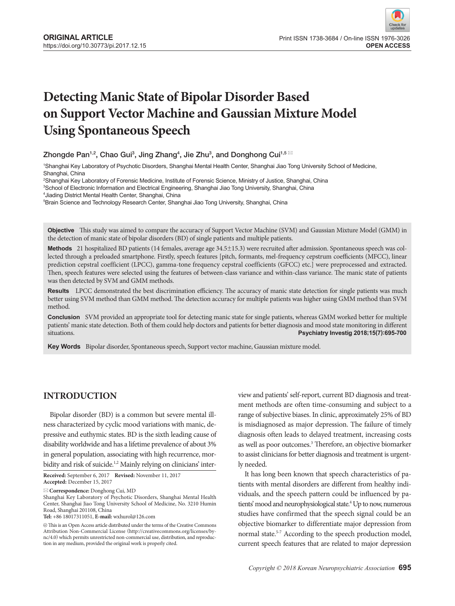# **Detecting Manic State of Bipolar Disorder Based on Support Vector Machine and Gaussian Mixture Model Using Spontaneous Speech**

Zhongde Pan $^{1,2}$ , Chao Gui $^3$ , Jing Zhang $^4$ , Jie Zhu $^3$ , and Donghong Cui $^{1,5~\boxtimes}$ 

1 Shanghai Key Laboratory of Psychotic Disorders, Shanghai Mental Health Center, Shanghai Jiao Tong University School of Medicine, Shanghai, China

2 Shanghai Key Laboratory of Forensic Medicine, Institute of Forensic Science, Ministry of Justice, Shanghai, China

3 School of Electronic Information and Electrical Engineering, Shanghai Jiao Tong University, Shanghai, China

4 Jiading District Mental Health Center, Shanghai, China

5 Brain Science and Technology Research Center, Shanghai Jiao Tong University, Shanghai, China

**Objective** This study was aimed to compare the accuracy of Support Vector Machine (SVM) and Gaussian Mixture Model (GMM) in the detection of manic state of bipolar disorders (BD) of single patients and multiple patients.

**Methods** 21 hospitalized BD patients (14 females, average age 34.5±15.3) were recruited after admission. Spontaneous speech was collected through a preloaded smartphone. Firstly, speech features [pitch, formants, mel-frequency cepstrum coefficients (MFCC), linear prediction cepstral coefficient (LPCC), gamma-tone frequency cepstral coefficients (GFCC) etc.] were preprocessed and extracted. Then, speech features were selected using the features of between-class variance and within-class variance. The manic state of patients was then detected by SVM and GMM methods.

**Results** LPCC demonstrated the best discrimination efficiency. The accuracy of manic state detection for single patients was much better using SVM method than GMM method. The detection accuracy for multiple patients was higher using GMM method than SVM method.

**Conclusion** SVM provided an appropriate tool for detecting manic state for single patients, whereas GMM worked better for multiple patients' manic state detection. Both of them could help doctors and patients for better diagnosis and mood state monitoring in different situations. **Psychiatry Investig 2018;15(7):695-700**

**Key Words** Bipolar disorder, Spontaneous speech, Support vector machine, Gaussian mixture model.

# **INTRODUCTION**

Bipolar disorder (BD) is a common but severe mental illness characterized by cyclic mood variations with manic, depressive and euthymic states. BD is the sixth leading cause of disability worldwide and has a lifetime prevalence of about 3% in general population, associating with high recurrence, morbidity and risk of suicide.<sup>1,2</sup> Mainly relying on clinicians' inter-

**Received:** September 6, 2017 **Revised:** November 11, 2017 **Accepted:** December 15, 2017

**Correspondence:** Donghong Cui, MD

Shanghai Key Laboratory of Psychotic Disorders, Shanghai Mental Health Center, Shanghai Jiao Tong University School of Medicine, No. 3210 Humin Road, Shanghai 201108, China

**Tel:** +86 18017311051, **E-mail:** wxhurol@126.com

 $\circledR$  This is an Open Access article distributed under the terms of the Creative Commons Attribution Non-Commercial License (http://creativecommons.org/licenses/bync/4.0) which permits unrestricted non-commercial use, distribution, and reproduction in any medium, provided the original work is properly cited.

view and patients' self-report, current BD diagnosis and treatment methods are often time-consuming and subject to a range of subjective biases. In clinic, approximately 25% of BD is misdiagnosed as major depression. The failure of timely diagnosis often leads to delayed treatment, increasing costs as well as poor outcomes.<sup>3</sup> Therefore, an objective biomarker to assist clinicians for better diagnosis and treatment is urgently needed.

It has long been known that speech characteristics of patients with mental disorders are different from healthy individuals, and the speech pattern could be influenced by patients' mood and neurophysiological state.<sup>4</sup> Up to now, numerous studies have confirmed that the speech signal could be an objective biomarker to differentiate major depression from normal state.<sup>5-7</sup> According to the speech production model, current speech features that are related to major depression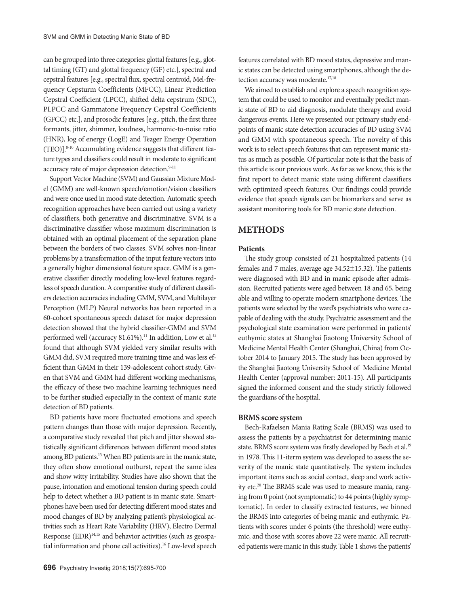can be grouped into three categories: glottal features [e.g., glottal timing (GT) and glottal frequency (GF) etc.], spectral and cepstral features [e.g., spectral flux, spectral centroid, Mel-frequency Cepsturm Coefficients (MFCC), Linear Prediction Cepstral Coefficient (LPCC), shifted delta cepstrum (SDC), PLPCC and Gammatone Frequency Cepstral Coefficients (GFCC) etc.], and prosodic features [e.g., pitch, the first three formants, jitter, shimmer, loudness, harmonic-to-noise ratio (HNR), log of energy (LogE) and Teager Energy Operation (TEO)].8-10 Accumulating evidence suggests that different feature types and classifiers could result in moderate to significant accuracy rate of major depression detection.<sup>9-11</sup>

Support Vector Machine (SVM) and Gaussian Mixture Model (GMM) are well-known speech/emotion/vision classifiers and were once used in mood state detection. Automatic speech recognition approaches have been carried out using a variety of classifiers, both generative and discriminative. SVM is a discriminative classifier whose maximum discrimination is obtained with an optimal placement of the separation plane between the borders of two classes. SVM solves non-linear problems by a transformation of the input feature vectors into a generally higher dimensional feature space. GMM is a generative classifier directly modeling low-level features regardless of speech duration. A comparative study of different classifiers detection accuracies including GMM, SVM, and Multilayer Perception (MLP) Neural networks has been reported in a 60-cohort spontaneous speech dataset for major depression detection showed that the hybrid classifier-GMM and SVM performed well (accuracy 81.61%).<sup>11</sup> In addition, Low et al.<sup>12</sup> found that although SVM yielded very similar results with GMM did, SVM required more training time and was less efficient than GMM in their 139-adolescent cohort study. Given that SVM and GMM had different working mechanisms, the efficacy of these two machine learning techniques need to be further studied especially in the context of manic state detection of BD patients.

BD patients have more fluctuated emotions and speech pattern changes than those with major depression. Recently, a comparative study revealed that pitch and jitter showed statistically significant differences between different mood states among BD patients.13 When BD patients are in the manic state, they often show emotional outburst, repeat the same idea and show witty irritability. Studies have also shown that the pause, intonation and emotional tension during speech could help to detect whether a BD patient is in manic state. Smartphones have been used for detecting different mood states and mood changes of BD by analyzing patient's physiological activities such as Heart Rate Variability (HRV), Electro Dermal Response (EDR)<sup>14,15</sup> and behavior activities (such as geospatial information and phone call activities).<sup>16</sup> Low-level speech

features correlated with BD mood states, depressive and manic states can be detected using smartphones, although the detection accuracy was moderate.<sup>17,18</sup>

We aimed to establish and explore a speech recognition system that could be used to monitor and eventually predict manic state of BD to aid diagnosis, modulate therapy and avoid dangerous events. Here we presented our primary study endpoints of manic state detection accuracies of BD using SVM and GMM with spontaneous speech. The novelty of this work is to select speech features that can represent manic status as much as possible. Of particular note is that the basis of this article is our previous work. As far as we know, this is the first report to detect manic state using different classifiers with optimized speech features. Our findings could provide evidence that speech signals can be biomarkers and serve as assistant monitoring tools for BD manic state detection.

# **Methods**

#### **Patients**

The study group consisted of 21 hospitalized patients (14 females and 7 males, average age 34.52±15.32). The patients were diagnosed with BD and in manic episode after admission. Recruited patients were aged between 18 and 65, being able and willing to operate modern smartphone devices. The patients were selected by the ward's psychiatrists who were capable of dealing with the study. Psychiatric assessment and the psychological state examination were performed in patients' euthymic states at Shanghai Jiaotong University School of Medicine Mental Health Center (Shanghai, China) from October 2014 to January 2015. The study has been approved by the Shanghai Jiaotong University School of Medicine Mental Health Center (approval number: 2011-15). All participants signed the informed consent and the study strictly followed the guardians of the hospital.

#### **BRMS score system**

Bech-Rafaelsen Mania Rating Scale (BRMS) was used to assess the patients by a psychiatrist for determining manic state. BRMS score system was firstly developed by Bech et al.19 in 1978. This 11-iterm system was developed to assess the severity of the manic state quantitatively. The system includes important items such as social contact, sleep and work activity etc.<sup>20</sup> The BRMS scale was used to measure mania, ranging from 0 point (not symptomatic) to 44 points (highly symptomatic). In order to classify extracted features, we binned the BRMS into categories of being manic and euthymic. Patients with scores under 6 points (the threshold) were euthymic, and those with scores above 22 were manic. All recruited patients were manic in this study. Table 1 shows the patients'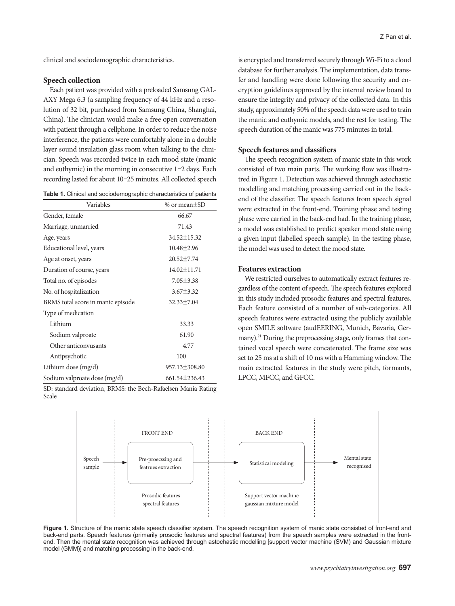clinical and sociodemographic characteristics.

#### **Speech collection**

Each patient was provided with a preloaded Samsung GAL-AXY Mega 6.3 (a sampling frequency of 44 kHz and a resolution of 32 bit, purchased from Samsung China, Shanghai, China). The clinician would make a free open conversation with patient through a cellphone. In order to reduce the noise interference, the patients were comfortably alone in a double layer sound insulation glass room when talking to the clinician. Speech was recorded twice in each mood state (manic and euthymic) in the morning in consecutive 1–2 days. Each recording lasted for about 10–25 minutes. All collected speech

|  |  |  |  | <b>Table 1.</b> Clinical and sociodemographic characteristics of patients |  |
|--|--|--|--|---------------------------------------------------------------------------|--|
|--|--|--|--|---------------------------------------------------------------------------|--|

| Variables                         | % or mean±SD      |
|-----------------------------------|-------------------|
| Gender, female                    | 66.67             |
| Marriage, unmarried               | 71.43             |
| Age, years                        | 34.52±15.32       |
| Educational level, years          | $10.48 \pm 2.96$  |
| Age at onset, years               | $20.52 \pm 7.74$  |
| Duration of course, years         | $14.02 \pm 11.71$ |
| Total no. of episodes             | $7.05 \pm 3.38$   |
| No. of hospitalization            | $3.67 \pm 3.32$   |
| BRMS total score in manic episode | $32.33 \pm 7.04$  |
| Type of medication                |                   |
| Lithium                           | 33.33             |
| Sodium valproate                  | 61.90             |
| Other anticonvusants              | 4.77              |
| Antipsychotic                     | 100               |
| Lithium dose $(mg/d)$             | 957.13±308.80     |
| Sodium valproate dose (mg/d)      | 661.54±236.43     |

SD: standard deviation, BRMS: the Bech-Rafaelsen Mania Rating Scale

is encrypted and transferred securely through Wi-Fi to a cloud database for further analysis. The implementation, data transfer and handling were done following the security and encryption guidelines approved by the internal review board to ensure the integrity and privacy of the collected data. In this study, approximately 50% of the speech data were used to train the manic and euthymic models, and the rest for testing. The speech duration of the manic was 775 minutes in total.

## **Speech features and classifiers**

The speech recognition system of manic state in this work consisted of two main parts. The working flow was illustratred in Figure 1. Detection was achieved through astochastic modelling and matching processing carried out in the backend of the classifier. The speech features from speech signal were extracted in the front-end. Training phase and testing phase were carried in the back-end had. In the training phase, a model was established to predict speaker mood state using a given input (labelled speech sample). In the testing phase, the model was used to detect the mood state.

#### **Features extraction**

We restricted ourselves to automatically extract features regardless of the content of speech. The speech features explored in this study included prosodic features and spectral features. Each feature consisted of a number of sub-categories. All speech features were extracted using the publicly available open SMILE software (audEERING, Munich, Bavaria, Germany).<sup>21</sup> During the preprocessing stage, only frames that contained vocal speech were concatenated. The frame size was set to 25 ms at a shift of 10 ms with a Hamming window. The main extracted features in the study were pitch, formants, LPCC, MFCC, and GFCC.



**Figure 1.** Structure of the manic state speech classifier system. The speech recognition system of manic state consisted of front-end and back-end parts. Speech features (primarily prosodic features and spectral features) from the speech samples were extracted in the frontend. Then the mental state recognition was achieved through astochastic modelling [support vector machine (SVM) and Gaussian mixture model (GMM)] and matching processing in the back-end.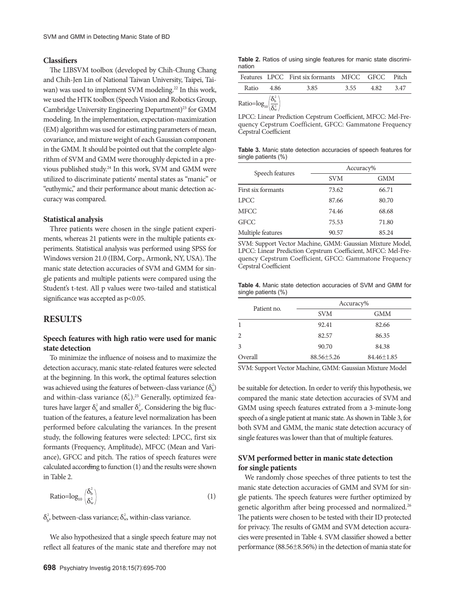## **Classifiers**

The LIBSVM toolbox (developed by Chih-Chung Chang and Chih-Jen Lin of National Taiwan University, Taipei, Taiwan) was used to implement SVM modeling.<sup>22</sup> In this work, we used the HTK toolbox (Speech Vision and Robotics Group, Cambridge University Engineering Department)<sup>23</sup> for GMM modeling. In the implementation, expectation-maximization (EM) algorithm was used for estimating parameters of mean, covariance, and mixture weight of each Gaussian component in the GMM. It should be pointed out that the complete algorithm of SVM and GMM were thoroughly depicted in a previous published study.<sup>24</sup> In this work, SVM and GMM were utilized to discriminate patients' mental states as "manic" or "euthymic," and their performance about manic detection accuracy was compared.

#### **Statistical analysis**

Three patients were chosen in the single patient experiments, whereas 21 patients were in the multiple patients experiments. Statistical analysis was performed using SPSS for Windows version 21.0 (IBM, Corp., Armonk, NY, USA). The manic state detection accuracies of SVM and GMM for single patients and multiple patients were compared using the Student's t-test. All p values were two-tailed and statistical significance was accepted as p<0.05.

## **Results**

## **Speech features with high ratio were used for manic state detection**

To minimize the influence of noisess and to maximize the detection accuracy, manic state-related features were selected at the beginning. In this work, the optimal features selection was achieved using the features of between-class variance  $(\delta_{\text{b}}^2)$ and within-class variance  $(\delta_w^2)^{25}$  Generally, optimized features have larger  $\delta_{\rm b}^2$  and smaller  $\delta_{\rm w}^2$ . Considering the big fluctuation of the features, a feature level normalization has been performed before calculating the variances. In the present study, the following features were selected: LPCC, first six formants (Frequency, Amplitude), MFCC (Mean and Variance), GFCC and pitch. The ratios of speech features were calculated according to function (1) and the results were shown in Table 2.

$$
Ratio = log_{10} \left( \frac{\delta_b^2}{\delta_w^2} \right) \tag{1}
$$

 $\delta_{\rm b}^2$ , between-class variance;  $\delta_{\rm w}^2$ , within-class variance.

We also hypothesized that a single speech feature may not reflect all features of the manic state and therefore may not

| <b>Table 2.</b> Ratios of using single features for manic state discrimi- |  |  |  |  |  |
|---------------------------------------------------------------------------|--|--|--|--|--|
| nation                                                                    |  |  |  |  |  |

|                                                |        | Features LPCC First six formants MFCC GFCC Pitch |      |      |      |
|------------------------------------------------|--------|--------------------------------------------------|------|------|------|
| Ratio                                          | - 4.86 | 3.85                                             | 3.55 | 4.82 | 3.47 |
| Ratio= $log_{10}(\frac{\delta_b^2}{\delta^2})$ |        |                                                  |      |      |      |

LPCC: Linear Prediction Cepstrum Coefficient, MFCC: Mel-Frequency Cepstrum Coefficient, GFCC: Gammatone Frequency Cepstral Coefficient

**Table 3.** Manic state detection accuracies of speech features for single patients (%)

|                    | Accuracy%  |            |  |  |
|--------------------|------------|------------|--|--|
| Speech features    | <b>SVM</b> | <b>GMM</b> |  |  |
| First six formants | 73.62      | 66.71      |  |  |
| <b>LPCC</b>        | 87.66      | 80.70      |  |  |
| <b>MFCC</b>        | 74.46      | 68.68      |  |  |
| <b>GFCC</b>        | 75.53      | 71.80      |  |  |
| Multiple features  | 90.57      | 85.24      |  |  |

SVM: Support Vector Machine, GMM: Gaussian Mixture Model, LPCC: Linear Prediction Cepstrum Coefficient, MFCC: Mel-Frequency Cepstrum Coefficient, GFCC: Gammatone Frequency Cepstral Coefficient

**Table 4.** Manic state detection accuracies of SVM and GMM for single patients (%)

| Patient no. | Accuracy%        |                  |  |  |
|-------------|------------------|------------------|--|--|
|             | <b>SVM</b>       | <b>GMM</b>       |  |  |
| 1           | 92.41            | 82.66            |  |  |
| 2           | 82.57            | 86.35            |  |  |
| 3           | 90.70            | 84.38            |  |  |
| Overall     | $88.56 \pm 5.26$ | $84.46 \pm 1.85$ |  |  |

SVM: Support Vector Machine, GMM: Gaussian Mixture Model

be suitable for detection. In order to verify this hypothesis, we compared the manic state detection accuracies of SVM and GMM using speech features extrated from a 3-minute-long speech of a single patient at manic state. As shown in Table 3, for both SVM and GMM, the manic state detection accuracy of single features was lower than that of multiple features.

# **SVM performed better in manic state detection for single patients**

We randomly chose speeches of three patients to test the manic state detection accuracies of GMM and SVM for single patients. The speech features were further optimized by genetic algorithm after being processed and normalized.<sup>26</sup> The patients were chosen to be tested with their ID protected for privacy. The results of GMM and SVM detection accuracies were presented in Table 4. SVM classifier showed a better performance (88.56±8.56%) in the detection of mania state for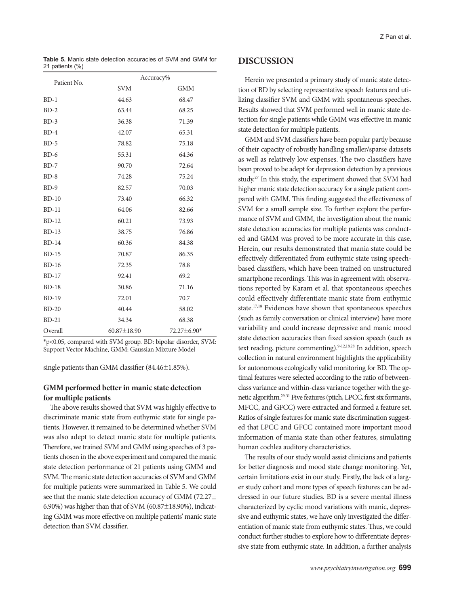**Table 5.** Manic state detection accuracies of SVM and GMM for 21 patients (%)

| Patient No. | Accuracy%         |             |  |  |  |
|-------------|-------------------|-------------|--|--|--|
|             | <b>SVM</b>        | <b>GMM</b>  |  |  |  |
| $BD-1$      | 44.63             | 68.47       |  |  |  |
| $BD-2$      | 63.44             | 68.25       |  |  |  |
| $BD-3$      | 36.38             | 71.39       |  |  |  |
| $BD-4$      | 42.07             | 65.31       |  |  |  |
| $BD-5$      | 78.82             | 75.18       |  |  |  |
| $BD-6$      | 55.31             | 64.36       |  |  |  |
| $BD-7$      | 90.70             | 72.64       |  |  |  |
| $BD-8$      | 74.28             | 75.24       |  |  |  |
| $BD-9$      | 82.57             | 70.03       |  |  |  |
| $BD-10$     | 73.40             | 66.32       |  |  |  |
| $BD-11$     | 64.06             | 82.66       |  |  |  |
| $BD-12$     | 60.21             | 73.93       |  |  |  |
| $BD-13$     | 38.75             | 76.86       |  |  |  |
| $BD-14$     | 60.36             | 84.38       |  |  |  |
| $BD-15$     | 70.87             | 86.35       |  |  |  |
| $BD-16$     | 72.35             | 78.8        |  |  |  |
| $BD-17$     | 92.41             | 69.2        |  |  |  |
| $BD-18$     | 30.86             | 71.16       |  |  |  |
| $BD-19$     | 72.01             | 70.7        |  |  |  |
| $BD-20$     | 40.44             | 58.02       |  |  |  |
| $BD-21$     | 34.34             | 68.38       |  |  |  |
| Overall     | $60.87 \pm 18.90$ | 72.27±6.90* |  |  |  |

\*p<0.05, compared with SVM group. BD: bipolar disorder, SVM: Support Vector Machine, GMM: Gaussian Mixture Model

single patients than GMM classifier (84.46±1.85%).

## **GMM performed better in manic state detection for multiple patients**

The above results showed that SVM was highly effective to discriminate manic state from euthymic state for single patients. However, it remained to be determined whether SVM was also adept to detect manic state for multiple patients. Therefore, we trained SVM and GMM using speeches of 3 patients chosen in the above experiment and compared the manic state detection performance of 21 patients using GMM and SVM. The manic state detection accuracies of SVM and GMM for multiple patients were summarized in Table 5. We could see that the manic state detection accuracy of GMM (72.27 $\pm$ 6.90%) was higher than that of SVM (60.87 $\pm$ 18.90%), indicating GMM was more effective on multiple patients' manic state detection than SVM classifier.

# **Discussion**

Herein we presented a primary study of manic state detection of BD by selecting representative speech features and utilizing classifier SVM and GMM with spontaneous speeches. Results showed that SVM performed well in manic state detection for single patients while GMM was effective in manic state detection for multiple patients.

GMM and SVM classifiers have been popular partly because of their capacity of robustly handling smaller/sparse datasets as well as relatively low expenses. The two classifiers have been proved to be adept for depression detection by a previous study.27 In this study, the experiment showed that SVM had higher manic state detection accuracy for a single patient compared with GMM. This finding suggested the effectiveness of SVM for a small sample size. To further explore the performance of SVM and GMM, the investigation about the manic state detection accuracies for multiple patients was conducted and GMM was proved to be more accurate in this case. Herein, our results demonstrated that mania state could be effectively differentiated from euthymic state using speechbased classifiers, which have been trained on unstructured smartphone recordings. This was in agreement with observations reported by Karam et al. that spontaneous speeches could effectively differentiate manic state from euthymic state.17,18 Evidences have shown that spontaneous speeches (such as family conversation or clinical interview) have more variability and could increase depressive and manic mood state detection accuracies than fixed session speech (such as text reading, picture commenting).<sup>9-12,18,28</sup> In addition, speech collection in natural environment highlights the applicability for autonomous ecologically valid monitoring for BD. The optimal features were selected according to the ratio of betweenclass variance and within-class variance together with the genetic algorithm.29-31 Five features (pitch, LPCC, first six formants, MFCC, and GFCC) were extracted and formed a feature set. Ratios of single features for manic state discrimination suggested that LPCC and GFCC contained more important mood information of mania state than other features, simulating human cochlea auditory characteristics.

The results of our study would assist clinicians and patients for better diagnosis and mood state change monitoring. Yet, certain limitations exist in our study. Firstly, the lack of a larger study cohort and more types of speech features can be addressed in our future studies. BD is a severe mental illness characterized by cyclic mood variations with manic, depressive and euthymic states, we have only investigated the differentiation of manic state from euthymic states. Thus, we could conduct further studies to explore how to differentiate depressive state from euthymic state. In addition, a further analysis